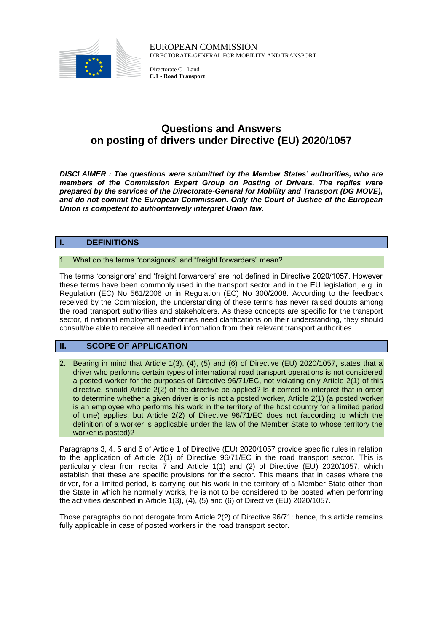

EUROPEAN COMMISSION DIRECTORATE-GENERAL FOR MOBILITY AND TRANSPORT

Directorate C - Land **C.1 - Road Transport**

# **Questions and Answers on posting of drivers under Directive (EU) 2020/1057**

*DISCLAIMER : The questions were submitted by the Member States' authorities, who are members of the Commission Expert Group on Posting of Drivers. The replies were prepared by the services of the Directorate-General for Mobility and Transport (DG MOVE), and do not commit the European Commission. Only the Court of Justice of the European Union is competent to authoritatively interpret Union law.* 

# **I. DEFINITIONS**

### 1. What do the terms "consignors" and "freight forwarders" mean?

The terms 'consignors' and 'freight forwarders' are not defined in Directive 2020/1057. However these terms have been commonly used in the transport sector and in the EU legislation, e.g. in Regulation (EC) No 561/2006 or in Regulation (EC) No 300/2008. According to the feedback received by the Commission, the understanding of these terms has never raised doubts among the road transport authorities and stakeholders. As these concepts are specific for the transport sector, if national employment authorities need clarifications on their understanding, they should consult/be able to receive all needed information from their relevant transport authorities.

# **II. SCOPE OF APPLICATION**

2. Bearing in mind that Article 1(3), (4), (5) and (6) of Directive (EU) 2020/1057, states that a driver who performs certain types of international road transport operations is not considered a posted worker for the purposes of Directive 96/71/EC, not violating only Article 2(1) of this directive, should Article 2(2) of the directive be applied? Is it correct to interpret that in order to determine whether a given driver is or is not a posted worker, Article 2(1) (a posted worker is an employee who performs his work in the territory of the host country for a limited period of time) applies, but Article 2(2) of Directive 96/71/EC does not (according to which the definition of a worker is applicable under the law of the Member State to whose territory the worker is posted)?

Paragraphs 3, 4, 5 and 6 of Article 1 of Directive (EU) 2020/1057 provide specific rules in relation to the application of Article 2(1) of Directive 96/71/EC in the road transport sector. This is particularly clear from recital 7 and Article 1(1) and (2) of Directive (EU) 2020/1057, which establish that these are specific provisions for the sector. This means that in cases where the driver, for a limited period, is carrying out his work in the territory of a Member State other than the State in which he normally works, he is not to be considered to be posted when performing the activities described in Article 1(3), (4), (5) and (6) of Directive (EU) 2020/1057.

Those paragraphs do not derogate from Article 2(2) of Directive 96/71; hence, this article remains fully applicable in case of posted workers in the road transport sector.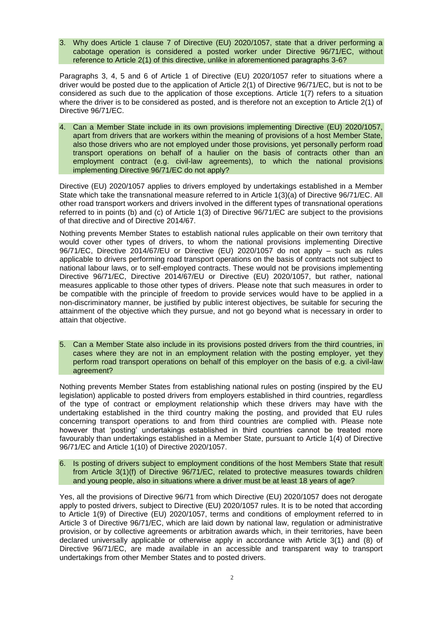3. Why does Article 1 clause 7 of Directive (EU) 2020/1057, state that a driver performing a cabotage operation is considered a posted worker under Directive 96/71/EC, without reference to Article 2(1) of this directive, unlike in aforementioned paragraphs 3-6?

Paragraphs 3, 4, 5 and 6 of Article 1 of Directive (EU) 2020/1057 refer to situations where a driver would be posted due to the application of Article 2(1) of Directive 96/71/EC, but is not to be considered as such due to the application of those exceptions. Article 1(7) refers to a situation where the driver is to be considered as posted, and is therefore not an exception to Article 2(1) of Directive 96/71/EC.

4. Can a Member State include in its own provisions implementing Directive (EU) 2020/1057, apart from drivers that are workers within the meaning of provisions of a host Member State, also those drivers who are not employed under those provisions, yet personally perform road transport operations on behalf of a haulier on the basis of contracts other than an employment contract (e.g. civil-law agreements), to which the national provisions implementing Directive 96/71/EC do not apply?

Directive (EU) 2020/1057 applies to drivers employed by undertakings established in a Member State which take the transnational measure referred to in Article 1(3)(a) of Directive 96/71/EC. All other road transport workers and drivers involved in the different types of transnational operations referred to in points (b) and (c) of Article 1(3) of Directive 96/71/EC are subject to the provisions of that directive and of Directive 2014/67.

Nothing prevents Member States to establish national rules applicable on their own territory that would cover other types of drivers, to whom the national provisions implementing Directive 96/71/EC, Directive 2014/67/EU or Directive (EU) 2020/1057 do not apply – such as rules applicable to drivers performing road transport operations on the basis of contracts not subject to national labour laws, or to self-employed contracts. These would not be provisions implementing Directive 96/71/EC, Directive 2014/67/EU or Directive (EU) 2020/1057, but rather, national measures applicable to those other types of drivers. Please note that such measures in order to be compatible with the principle of freedom to provide services would have to be applied in a non-discriminatory manner, be justified by public interest objectives, be suitable for securing the attainment of the objective which they pursue, and not go beyond what is necessary in order to attain that objective.

5. Can a Member State also include in its provisions posted drivers from the third countries, in cases where they are not in an employment relation with the posting employer, yet they perform road transport operations on behalf of this employer on the basis of e.g. a civil-law agreement?

Nothing prevents Member States from establishing national rules on posting (inspired by the EU legislation) applicable to posted drivers from employers established in third countries, regardless of the type of contract or employment relationship which these drivers may have with the undertaking established in the third country making the posting, and provided that EU rules concerning transport operations to and from third countries are complied with. Please note however that 'posting' undertakings established in third countries cannot be treated more favourably than undertakings established in a Member State, pursuant to Article 1(4) of Directive 96/71/EC and Article 1(10) of Directive 2020/1057.

6. Is posting of drivers subject to employment conditions of the host Members State that result from Article 3(1)(f) of Directive 96/71/EC, related to protective measures towards children and young people, also in situations where a driver must be at least 18 years of age?

Yes, all the provisions of Directive 96/71 from which Directive (EU) 2020/1057 does not derogate apply to posted drivers, subject to Directive (EU) 2020/1057 rules. It is to be noted that according to Article 1(9) of Directive (EU) 2020/1057, terms and conditions of employment referred to in Article 3 of Directive 96/71/EC, which are laid down by national law, regulation or administrative provision, or by collective agreements or arbitration awards which, in their territories, have been declared universally applicable or otherwise apply in accordance with Article 3(1) and (8) of Directive 96/71/EC, are made available in an accessible and transparent way to transport undertakings from other Member States and to posted drivers.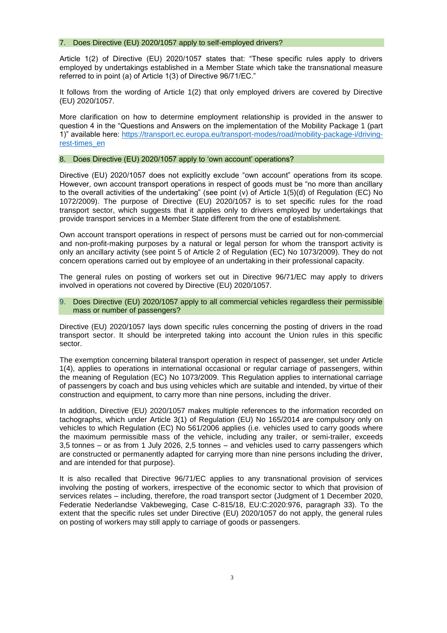#### 7. Does Directive (EU) 2020/1057 apply to self-employed drivers?

Article 1(2) of Directive (EU) 2020/1057 states that: "These specific rules apply to drivers employed by undertakings established in a Member State which take the transnational measure referred to in point (a) of Article 1(3) of Directive 96/71/EC."

It follows from the wording of Article 1(2) that only employed drivers are covered by Directive (EU) 2020/1057.

More clarification on how to determine employment relationship is provided in the answer to question 4 in the "Questions and Answers on the implementation of the Mobility Package 1 (part 1)" available here: [https://transport.ec.europa.eu/transport-modes/road/mobility-package-i/driving](https://transport.ec.europa.eu/transport-modes/road/mobility-package-i/driving-rest-times_en)[rest-times\\_en](https://transport.ec.europa.eu/transport-modes/road/mobility-package-i/driving-rest-times_en)

#### 8. Does Directive (EU) 2020/1057 apply to 'own account' operations?

Directive (EU) 2020/1057 does not explicitly exclude "own account" operations from its scope. However, own account transport operations in respect of goods must be "no more than ancillary to the overall activities of the undertaking" (see point (v) of Article 1(5)(d) of Regulation (EC) No 1072/2009). The purpose of Directive (EU) 2020/1057 is to set specific rules for the road transport sector, which suggests that it applies only to drivers employed by undertakings that provide transport services in a Member State different from the one of establishment.

Own account transport operations in respect of persons must be carried out for non-commercial and non-profit-making purposes by a natural or legal person for whom the transport activity is only an ancillary activity (see point 5 of Article 2 of Regulation (EC) No 1073/2009). They do not concern operations carried out by employee of an undertaking in their professional capacity.

The general rules on posting of workers set out in Directive 96/71/EC may apply to drivers involved in operations not covered by Directive (EU) 2020/1057.

9. Does Directive (EU) 2020/1057 apply to all commercial vehicles regardless their permissible mass or number of passengers?

Directive (EU) 2020/1057 lays down specific rules concerning the posting of drivers in the road transport sector. It should be interpreted taking into account the Union rules in this specific sector.

The exemption concerning bilateral transport operation in respect of passenger, set under Article 1(4), applies to operations in international occasional or regular carriage of passengers, within the meaning of Regulation (EC) No 1073/2009. This Regulation applies to international carriage of passengers by coach and bus using vehicles which are suitable and intended, by virtue of their construction and equipment, to carry more than nine persons, including the driver.

In addition, Directive (EU) 2020/1057 makes multiple references to the information recorded on tachographs, which under Article 3(1) of Regulation (EU) No 165/2014 are compulsory only on vehicles to which Regulation (EC) No 561/2006 applies (i.e. vehicles used to carry goods where the maximum permissible mass of the vehicle, including any trailer, or semi-trailer, exceeds 3,5 tonnes – or as from 1 July 2026, 2,5 tonnes – and vehicles used to carry passengers which are constructed or permanently adapted for carrying more than nine persons including the driver, and are intended for that purpose).

It is also recalled that Directive 96/71/EC applies to any transnational provision of services involving the posting of workers, irrespective of the economic sector to which that provision of services relates – including, therefore, the road transport sector (Judgment of 1 December 2020, Federatie Nederlandse Vakbeweging, Case C-815/18, EU:C:2020:976, paragraph 33). To the extent that the specific rules set under Directive (EU) 2020/1057 do not apply, the general rules on posting of workers may still apply to carriage of goods or passengers.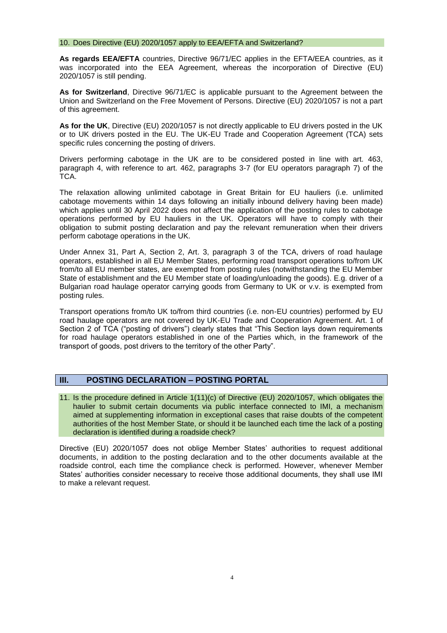#### 10. Does Directive (EU) 2020/1057 apply to EEA/EFTA and Switzerland?

**As regards EEA/EFTA** countries, Directive 96/71/EC applies in the EFTA/EEA countries, as it was incorporated into the EEA Agreement, whereas the incorporation of Directive (EU) 2020/1057 is still pending.

**As for Switzerland**, Directive 96/71/EC is applicable pursuant to the Agreement between the Union and Switzerland on the Free Movement of Persons. Directive (EU) 2020/1057 is not a part of this agreement.

**As for the UK**, Directive (EU) 2020/1057 is not directly applicable to EU drivers posted in the UK or to UK drivers posted in the EU. The UK-EU Trade and Cooperation Agreement (TCA) sets specific rules concerning the posting of drivers.

Drivers performing cabotage in the UK are to be considered posted in line with art. 463, paragraph 4, with reference to art. 462, paragraphs 3-7 (for EU operators paragraph 7) of the TCA.

The relaxation allowing unlimited cabotage in Great Britain for EU hauliers (i.e. unlimited cabotage movements within 14 days following an initially inbound delivery having been made) which applies until 30 April 2022 does not affect the application of the posting rules to cabotage operations performed by EU hauliers in the UK. Operators will have to comply with their obligation to submit posting declaration and pay the relevant remuneration when their drivers perform cabotage operations in the UK.

Under Annex 31, Part A, Section 2, Art. 3, paragraph 3 of the TCA, drivers of road haulage operators, established in all EU Member States, performing road transport operations to/from UK from/to all EU member states, are exempted from posting rules (notwithstanding the EU Member State of establishment and the EU Member state of loading/unloading the goods). E.g. driver of a Bulgarian road haulage operator carrying goods from Germany to UK or v.v. is exempted from posting rules.

Transport operations from/to UK to/from third countries (i.e. non-EU countries) performed by EU road haulage operators are not covered by UK-EU Trade and Cooperation Agreement. Art. 1 of Section 2 of TCA ("posting of drivers") clearly states that "This Section lays down requirements for road haulage operators established in one of the Parties which, in the framework of the transport of goods, post drivers to the territory of the other Party".

### **III. POSTING DECLARATION – POSTING PORTAL**

11. Is the procedure defined in Article 1(11)(c) of Directive (EU) 2020/1057, which obligates the haulier to submit certain documents via public interface connected to IMI, a mechanism aimed at supplementing information in exceptional cases that raise doubts of the competent authorities of the host Member State, or should it be launched each time the lack of a posting declaration is identified during a roadside check?

Directive (EU) 2020/1057 does not oblige Member States' authorities to request additional documents, in addition to the posting declaration and to the other documents available at the roadside control, each time the compliance check is performed. However, whenever Member States' authorities consider necessary to receive those additional documents, they shall use IMI to make a relevant request.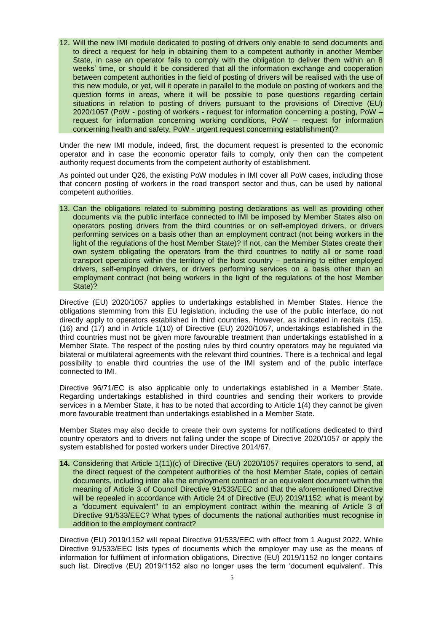12. Will the new IMI module dedicated to posting of drivers only enable to send documents and to direct a request for help in obtaining them to a competent authority in another Member State, in case an operator fails to comply with the obligation to deliver them within an 8 weeks' time, or should it be considered that all the information exchange and cooperation between competent authorities in the field of posting of drivers will be realised with the use of this new module, or yet, will it operate in parallel to the module on posting of workers and the question forms in areas, where it will be possible to pose questions regarding certain situations in relation to posting of drivers pursuant to the provisions of Directive (EU) 2020/1057 (PoW - posting of workers - request for information concerning a posting, PoW – request for information concerning working conditions, PoW – request for information concerning health and safety, PoW - urgent request concerning establishment)?

Under the new IMI module, indeed, first, the document request is presented to the economic operator and in case the economic operator fails to comply, only then can the competent authority request documents from the competent authority of establishment.

As pointed out under Q26, the existing PoW modules in IMI cover all PoW cases, including those that concern posting of workers in the road transport sector and thus, can be used by national competent authorities.

13. Can the obligations related to submitting posting declarations as well as providing other documents via the public interface connected to IMI be imposed by Member States also on operators posting drivers from the third countries or on self-employed drivers, or drivers performing services on a basis other than an employment contract (not being workers in the light of the regulations of the host Member State)? If not, can the Member States create their own system obligating the operators from the third countries to notify all or some road transport operations within the territory of the host country – pertaining to either employed drivers, self-employed drivers, or drivers performing services on a basis other than an employment contract (not being workers in the light of the regulations of the host Member State)?

Directive (EU) 2020/1057 applies to undertakings established in Member States. Hence the obligations stemming from this EU legislation, including the use of the public interface, do not directly apply to operators established in third countries. However, as indicated in recitals (15), (16) and (17) and in Article 1(10) of Directive (EU) 2020/1057, undertakings established in the third countries must not be given more favourable treatment than undertakings established in a Member State. The respect of the posting rules by third country operators may be regulated via bilateral or multilateral agreements with the relevant third countries. There is a technical and legal possibility to enable third countries the use of the IMI system and of the public interface connected to IMI.

Directive 96/71/EC is also applicable only to undertakings established in a Member State. Regarding undertakings established in third countries and sending their workers to provide services in a Member State, it has to be noted that according to Article 1(4) they cannot be given more favourable treatment than undertakings established in a Member State.

Member States may also decide to create their own systems for notifications dedicated to third country operators and to drivers not falling under the scope of Directive 2020/1057 or apply the system established for posted workers under Directive 2014/67.

**14.** Considering that Article 1(11)(c) of Directive (EU) 2020/1057 requires operators to send, at the direct request of the competent authorities of the host Member State, copies of certain documents, including inter alia the employment contract or an equivalent document within the meaning of Article 3 of Council Directive 91/533/EEC and that the aforementioned Directive will be repealed in accordance with Article 24 of Directive (EU) 2019/1152, what is meant by a "document equivalent" to an employment contract within the meaning of Article 3 of Directive 91/533/EEC? What types of documents the national authorities must recognise in addition to the employment contract?

Directive (EU) 2019/1152 will repeal Directive 91/533/EEC with effect from 1 August 2022. While Directive 91/533/EEC lists types of documents which the employer may use as the means of information for fulfilment of information obligations, Directive (EU) 2019/1152 no longer contains such list. Directive (EU) 2019/1152 also no longer uses the term 'document equivalent'. This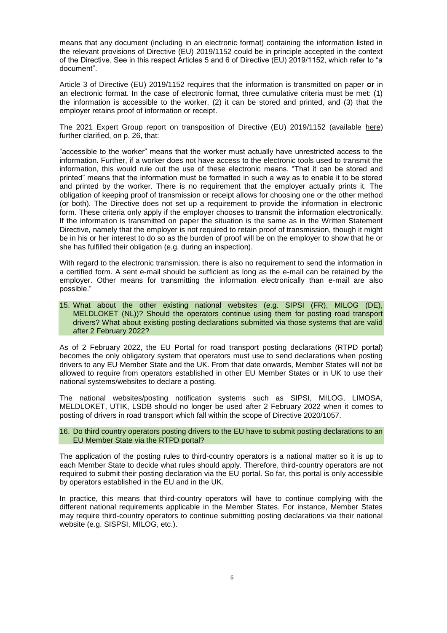means that any document (including in an electronic format) containing the information listed in the relevant provisions of Directive (EU) 2019/1152 could be in principle accepted in the context of the Directive. See in this respect Articles 5 and 6 of Directive (EU) 2019/1152, which refer to "a document".

Article 3 of Directive (EU) 2019/1152 requires that the information is transmitted on paper **or** in an electronic format. In the case of electronic format, three cumulative criteria must be met: (1) the information is accessible to the worker, (2) it can be stored and printed, and (3) that the employer retains proof of information or receipt.

The 2021 Expert Group report on transposition of Directive (EU) 2019/1152 (available [here\)](https://ec.europa.eu/social/main.jsp?catId=738&langId=en&pubId=8410&furtherPubs=yes) further clarified, on p. 26, that:

"accessible to the worker" means that the worker must actually have unrestricted access to the information. Further, if a worker does not have access to the electronic tools used to transmit the information, this would rule out the use of these electronic means. "That it can be stored and printed" means that the information must be formatted in such a way as to enable it to be stored and printed by the worker. There is no requirement that the employer actually prints it. The obligation of keeping proof of transmission or receipt allows for choosing one or the other method (or both). The Directive does not set up a requirement to provide the information in electronic form. These criteria only apply if the employer chooses to transmit the information electronically. If the information is transmitted on paper the situation is the same as in the Written Statement Directive, namely that the employer is not required to retain proof of transmission, though it might be in his or her interest to do so as the burden of proof will be on the employer to show that he or she has fulfilled their obligation (e.g. during an inspection).

With regard to the electronic transmission, there is also no requirement to send the information in a certified form. A sent e-mail should be sufficient as long as the e-mail can be retained by the employer. Other means for transmitting the information electronically than e-mail are also possible."

15. What about the other existing national websites (e.g. SIPSI (FR), MILOG (DE), MELDLOKET (NL))? Should the operators continue using them for posting road transport drivers? What about existing posting declarations submitted via those systems that are valid after 2 February 2022?

As of 2 February 2022, the EU Portal for road transport posting declarations (RTPD portal) becomes the only obligatory system that operators must use to send declarations when posting drivers to any EU Member State and the UK. From that date onwards, Member States will not be allowed to require from operators established in other EU Member States or in UK to use their national systems/websites to declare a posting.

The national websites/posting notification systems such as SIPSI, MILOG, LIMOSA, MELDLOKET, UTIK, LSDB should no longer be used after 2 February 2022 when it comes to posting of drivers in road transport which fall within the scope of Directive 2020/1057.

16. Do third country operators posting drivers to the EU have to submit posting declarations to an EU Member State via the RTPD portal?

The application of the posting rules to third-country operators is a national matter so it is up to each Member State to decide what rules should apply. Therefore, third-country operators are not required to submit their posting declaration via the EU portal. So far, this portal is only accessible by operators established in the EU and in the UK.

In practice, this means that third-country operators will have to continue complying with the different national requirements applicable in the Member States. For instance, Member States may require third-country operators to continue submitting posting declarations via their national website (e.g. SISPSI, MILOG, etc.).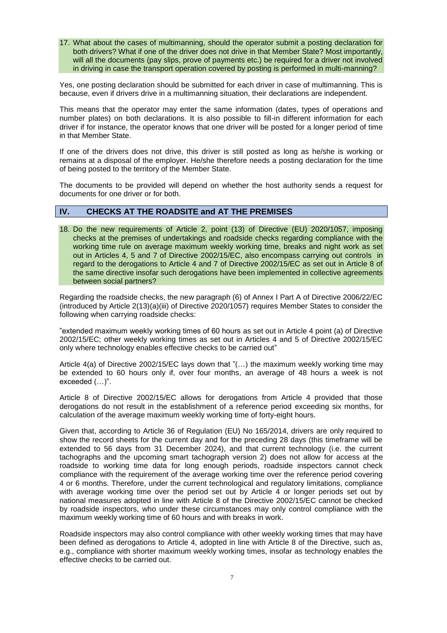17. What about the cases of multimanning, should the operator submit a posting declaration for both drivers? What if one of the driver does not drive in that Member State? Most importantly, will all the documents (pay slips, prove of payments etc.) be required for a driver not involved in driving in case the transport operation covered by posting is performed in multi-manning?

Yes, one posting declaration should be submitted for each driver in case of multimanning. This is because, even if drivers drive in a multimanning situation, their declarations are independent.

This means that the operator may enter the same information (dates, types of operations and number plates) on both declarations. It is also possible to fill-in different information for each driver if for instance, the operator knows that one driver will be posted for a longer period of time in that Member State.

If one of the drivers does not drive, this driver is still posted as long as he/she is working or remains at a disposal of the employer. He/she therefore needs a posting declaration for the time of being posted to the territory of the Member State.

The documents to be provided will depend on whether the host authority sends a request for documents for one driver or for both.

# **IV. CHECKS AT THE ROADSITE and AT THE PREMISES**

18. Do the new requirements of Article 2, point (13) of Directive (EU) 2020/1057, imposing checks at the premises of undertakings and roadside checks regarding compliance with the working time rule on average maximum weekly working time, breaks and night work as set out in Articles 4, 5 and 7 of Directive 2002/15/EC, also encompass carrying out controls in regard to the derogations to Article 4 and 7 of Directive 2002/15/EC as set out in Article 8 of the same directive insofar such derogations have been implemented in collective agreements between social partners?

Regarding the roadside checks, the new paragraph (6) of Annex I Part A of Directive 2006/22/EC (introduced by Article 2(13)(a)(iii) of Directive 2020/1057) requires Member States to consider the following when carrying roadside checks:

"extended maximum weekly working times of 60 hours as set out in Article 4 point (a) of Directive 2002/15/EC; other weekly working times as set out in Articles 4 and 5 of Directive 2002/15/EC only where technology enables effective checks to be carried out"

Article 4(a) of Directive 2002/15/EC lays down that "(…) the maximum weekly working time may be extended to 60 hours only if, over four months, an average of 48 hours a week is not exceeded (…)".

Article 8 of Directive 2002/15/EC allows for derogations from Article 4 provided that those derogations do not result in the establishment of a reference period exceeding six months, for calculation of the average maximum weekly working time of forty-eight hours.

Given that, according to Article 36 of Regulation (EU) No 165/2014, drivers are only required to show the record sheets for the current day and for the preceding 28 days (this timeframe will be extended to 56 days from 31 December 2024), and that current technology (i.e. the current tachographs and the upcoming smart tachograph version 2) does not allow for access at the roadside to working time data for long enough periods, roadside inspectors cannot check compliance with the requirement of the average working time over the reference period covering 4 or 6 months. Therefore, under the current technological and regulatory limitations, compliance with average working time over the period set out by Article 4 or longer periods set out by national measures adopted in line with Article 8 of the Directive 2002/15/EC cannot be checked by roadside inspectors, who under these circumstances may only control compliance with the maximum weekly working time of 60 hours and with breaks in work.

Roadside inspectors may also control compliance with other weekly working times that may have been defined as derogations to Article 4, adopted in line with Article 8 of the Directive, such as, e.g., compliance with shorter maximum weekly working times, insofar as technology enables the effective checks to be carried out.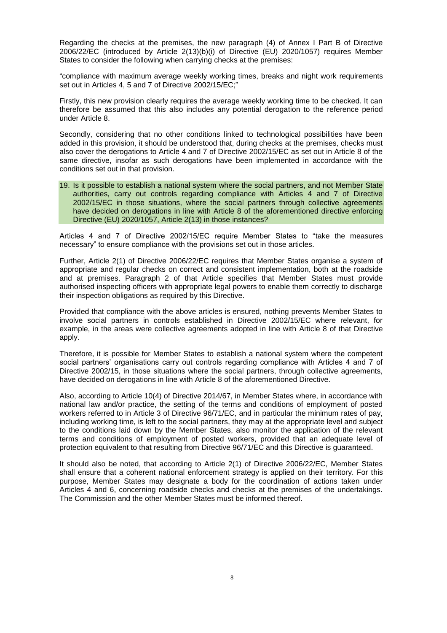Regarding the checks at the premises, the new paragraph (4) of Annex I Part B of Directive 2006/22/EC (introduced by Article 2(13)(b)(i) of Directive (EU) 2020/1057) requires Member States to consider the following when carrying checks at the premises:

"compliance with maximum average weekly working times, breaks and night work requirements set out in Articles 4, 5 and 7 of Directive 2002/15/EC;"

Firstly, this new provision clearly requires the average weekly working time to be checked. It can therefore be assumed that this also includes any potential derogation to the reference period under Article 8.

Secondly, considering that no other conditions linked to technological possibilities have been added in this provision, it should be understood that, during checks at the premises, checks must also cover the derogations to Article 4 and 7 of Directive 2002/15/EC as set out in Article 8 of the same directive, insofar as such derogations have been implemented in accordance with the conditions set out in that provision.

19. Is it possible to establish a national system where the social partners, and not Member State authorities, carry out controls regarding compliance with Articles 4 and 7 of Directive 2002/15/EC in those situations, where the social partners through collective agreements have decided on derogations in line with Article 8 of the aforementioned directive enforcing Directive (EU) 2020/1057, Article 2(13) in those instances?

Articles 4 and 7 of Directive 2002/15/EC require Member States to "take the measures necessary" to ensure compliance with the provisions set out in those articles.

Further, Article 2(1) of Directive 2006/22/EC requires that Member States organise a system of appropriate and regular checks on correct and consistent implementation, both at the roadside and at premises. Paragraph 2 of that Article specifies that Member States must provide authorised inspecting officers with appropriate legal powers to enable them correctly to discharge their inspection obligations as required by this Directive.

Provided that compliance with the above articles is ensured, nothing prevents Member States to involve social partners in controls established in Directive 2002/15/EC where relevant, for example, in the areas were collective agreements adopted in line with Article 8 of that Directive apply.

Therefore, it is possible for Member States to establish a national system where the competent social partners' organisations carry out controls regarding compliance with Articles 4 and 7 of Directive 2002/15, in those situations where the social partners, through collective agreements, have decided on derogations in line with Article 8 of the aforementioned Directive.

Also, according to Article 10(4) of Directive 2014/67, in Member States where, in accordance with national law and/or practice, the setting of the terms and conditions of employment of posted workers referred to in Article 3 of Directive 96/71/EC, and in particular the minimum rates of pay, including working time, is left to the social partners, they may at the appropriate level and subject to the conditions laid down by the Member States, also monitor the application of the relevant terms and conditions of employment of posted workers, provided that an adequate level of protection equivalent to that resulting from Directive 96/71/EC and this Directive is guaranteed.

It should also be noted, that according to Article 2(1) of Directive 2006/22/EC, Member States shall ensure that a coherent national enforcement strategy is applied on their territory. For this purpose, Member States may designate a body for the coordination of actions taken under Articles 4 and 6, concerning roadside checks and checks at the premises of the undertakings. The Commission and the other Member States must be informed thereof.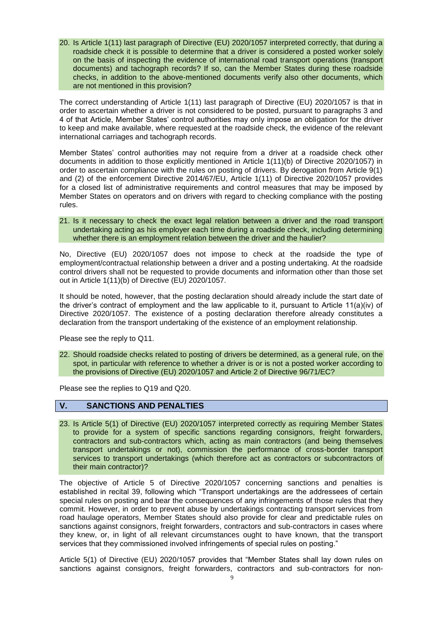20. Is Article 1(11) last paragraph of Directive (EU) 2020/1057 interpreted correctly, that during a roadside check it is possible to determine that a driver is considered a posted worker solely on the basis of inspecting the evidence of international road transport operations (transport documents) and tachograph records? If so, can the Member States during these roadside checks, in addition to the above-mentioned documents verify also other documents, which are not mentioned in this provision?

The correct understanding of Article 1(11) last paragraph of Directive (EU) 2020/1057 is that in order to ascertain whether a driver is not considered to be posted, pursuant to paragraphs 3 and 4 of that Article, Member States' control authorities may only impose an obligation for the driver to keep and make available, where requested at the roadside check, the evidence of the relevant international carriages and tachograph records.

Member States' control authorities may not require from a driver at a roadside check other documents in addition to those explicitly mentioned in Article 1(11)(b) of Directive 2020/1057) in order to ascertain compliance with the rules on posting of drivers. By derogation from Article 9(1) and (2) of the enforcement Directive 2014/67/EU, Article 1(11) of Directive 2020/1057 provides for a closed list of administrative requirements and control measures that may be imposed by Member States on operators and on drivers with regard to checking compliance with the posting rules.

21. Is it necessary to check the exact legal relation between a driver and the road transport undertaking acting as his employer each time during a roadside check, including determining whether there is an employment relation between the driver and the haulier?

No, Directive (EU) 2020/1057 does not impose to check at the roadside the type of employment/contractual relationship between a driver and a posting undertaking. At the roadside control drivers shall not be requested to provide documents and information other than those set out in Article 1(11)(b) of Directive (EU) 2020/1057.

It should be noted, however, that the posting declaration should already include the start date of the driver's contract of employment and the law applicable to it, pursuant to Article 11(a)(iv) of Directive 2020/1057. The existence of a posting declaration therefore already constitutes a declaration from the transport undertaking of the existence of an employment relationship.

Please see the reply to Q11.

22. Should roadside checks related to posting of drivers be determined, as a general rule, on the spot, in particular with reference to whether a driver is or is not a posted worker according to the provisions of Directive (EU) 2020/1057 and Article 2 of Directive 96/71/EC?

Please see the replies to Q19 and Q20.

### **V. SANCTIONS AND PENALTIES**

23. Is Article 5(1) of Directive (EU) 2020/1057 interpreted correctly as requiring Member States to provide for a system of specific sanctions regarding consignors, freight forwarders, contractors and sub-contractors which, acting as main contractors (and being themselves transport undertakings or not), commission the performance of cross-border transport services to transport undertakings (which therefore act as contractors or subcontractors of their main contractor)?

The objective of Article 5 of Directive 2020/1057 concerning sanctions and penalties is established in recital 39, following which "Transport undertakings are the addressees of certain special rules on posting and bear the consequences of any infringements of those rules that they commit. However, in order to prevent abuse by undertakings contracting transport services from road haulage operators, Member States should also provide for clear and predictable rules on sanctions against consignors, freight forwarders, contractors and sub-contractors in cases where they knew, or, in light of all relevant circumstances ought to have known, that the transport services that they commissioned involved infringements of special rules on posting."

Article 5(1) of Directive (EU) 2020/1057 provides that "Member States shall lay down rules on sanctions against consignors, freight forwarders, contractors and sub-contractors for non